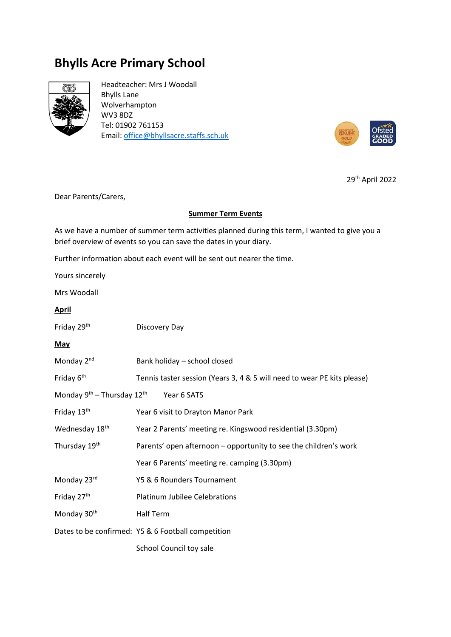# **Bhylls Acre Primary School**



Headteacher: Mrs J Woodall Bhylls Lane Wolverhampton WV3 8DZ Tel: 01902 761153 Email[: office@bhyllsacre.staffs.sch.uk](mailto:office@bhyllsacre.staffs.sch.uk)



29th April 2022

Dear Parents/Carers,

### **Summer Term Events**

As we have a number of summer term activities planned during this term, I wanted to give you a brief overview of events so you can save the dates in your diary.

Further information about each event will be sent out nearer the time.

Yours sincerely

Mrs Woodall

### **April**

| Friday 29th | Discovery Day |
|-------------|---------------|
|-------------|---------------|

### **May**

| Monday 2 <sup>nd</sup>                                  | Bank holiday – school closed                                            |  |
|---------------------------------------------------------|-------------------------------------------------------------------------|--|
| Friday 6 <sup>th</sup>                                  | Tennis taster session (Years 3, 4 & 5 will need to wear PE kits please) |  |
| Monday $9^{th}$ – Thursday 12 <sup>th</sup> Year 6 SATS |                                                                         |  |
| Friday 13th                                             | Year 6 visit to Drayton Manor Park                                      |  |
| Wednesday 18 <sup>th</sup>                              | Year 2 Parents' meeting re. Kingswood residential (3.30pm)              |  |
| Thursday 19th                                           | Parents' open afternoon – opportunity to see the children's work        |  |
|                                                         | Year 6 Parents' meeting re. camping (3.30pm)                            |  |
| Monday 23rd                                             | Y5 & 6 Rounders Tournament                                              |  |
| Friday 27th                                             | Platinum Jubilee Celebrations                                           |  |
| Monday 30 <sup>th</sup>                                 | Half Term                                                               |  |
|                                                         | Dates to be confirmed: Y5 & 6 Football competition                      |  |
|                                                         | School Council toy sale                                                 |  |